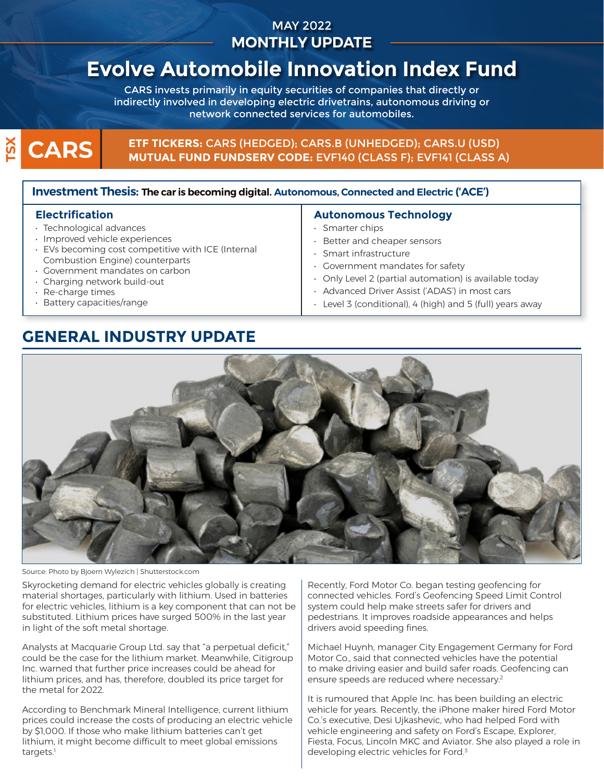## MAY 2022 **MONTHLY UPDATE**

# **Evolve Automobile Innovation Index Fund**

CARS invests primarily in equity securities of companies that directly or indirectly involved in developing electric drivetrains, autonomous driving or network connected services for automobiles.

# $\overline{\text{S}}$ **CARS**

### **ETF TICKERS:** CARS (HEDGED); CARS.B (UNHEDGED); CARS.U (USD) **MUTUAL FUND FUNDSERV CODE:** EVF140 (CLASS F); EVF141 (CLASS A)

### **Investment Thesis: The car is becoming digital. Autonomous, Connected and Electric ('ACE')**

#### **Electrification**

- Technological advances
- Improved vehicle experiences
- EVs becoming cost competitive with ICE (Internal Combustion Engine) counterparts
- Government mandates on carbon
- Charging network build-out
- Re-charge times
- Battery capacities/range

### **Autonomous Technology**

- Smarter chips
- Better and cheaper sensors
- Smart infrastructure
- Government mandates for safety
- Only Level 2 (partial automation) is available today
- Advanced Driver Assist ('ADAS') in most cars
- Level 3 (conditional), 4 (high) and 5 (full) years away

# **GENERAL INDUSTRY UPDATE**



Source: Photo by Bjoern Wylezich | Shutterstock.com

Skyrocketing demand for electric vehicles globally is creating material shortages, particularly with lithium. Used in batteries for electric vehicles, lithium is a key component that can not be substituted. Lithium prices have surged 500% in the last year in light of the soft metal shortage.

Analysts at Macquarie Group Ltd. say that "a perpetual deficit," could be the case for the lithium market. Meanwhile, Citigroup Inc. warned that further price increases could be ahead for lithium prices, and has, therefore, doubled its price target for the metal for 2022.

According to Benchmark Mineral Intelligence, current lithium prices could increase the costs of producing an electric vehicle by \$1,000. If those who make lithium batteries can't get lithium, it might become difficult to meet global emissions targets.<sup>1</sup>

Recently, Ford Motor Co. began testing geofencing for connected vehicles. Ford's Geofencing Speed Limit Control system could help make streets safer for drivers and pedestrians. It improves roadside appearances and helps drivers avoid speeding fines.

Michael Huynh, manager City Engagement Germany for Ford Motor Co., said that connected vehicles have the potential to make driving easier and build safer roads. Geofencing can ensure speeds are reduced where necessary. $2$ 

It is rumoured that Apple Inc. has been building an electric vehicle for years. Recently, the iPhone maker hired Ford Motor Co.'s executive, Desi Ujkashevic, who had helped Ford with vehicle engineering and safety on Ford's Escape, Explorer, Fiesta, Focus, Lincoln MKC and Aviator. She also played a role in developing electric vehicles for Ford.3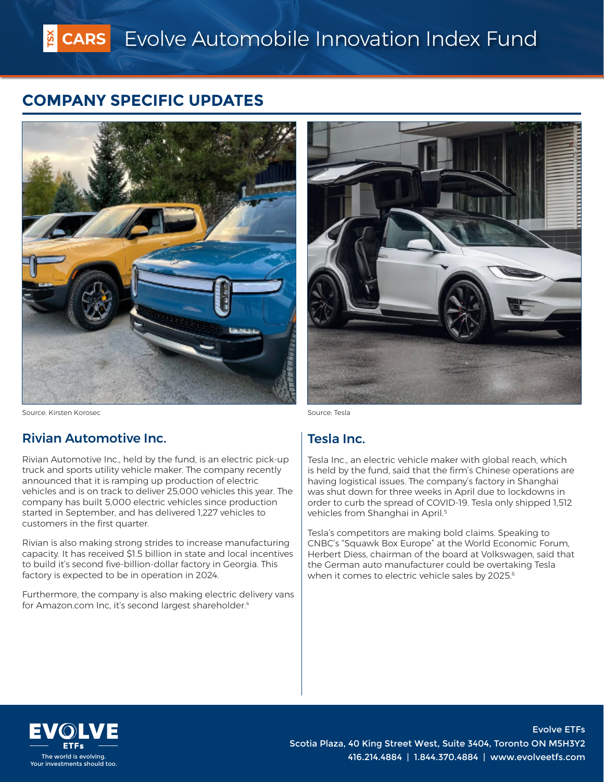# **COMPANY SPECIFIC UPDATES**





Source: Kirsten Korosec Source: Tesla

### Rivian Automotive Inc.

Rivian Automotive Inc., held by the fund, is an electric pick-up truck and sports utility vehicle maker. The company recently announced that it is ramping up production of electric vehicles and is on track to deliver 25,000 vehicles this year. The company has built 5,000 electric vehicles since production started in September, and has delivered 1,227 vehicles to customers in the first quarter.

Rivian is also making strong strides to increase manufacturing capacity. It has received \$1.5 billion in state and local incentives to build it's second five-billion-dollar factory in Georgia. This factory is expected to be in operation in 2024.

Furthermore, the company is also making electric delivery vans for Amazon.com Inc, it's second largest shareholder.<sup>4</sup>

### Tesla Inc.

Tesla Inc., an electric vehicle maker with global reach, which is held by the fund, said that the firm's Chinese operations are having logistical issues. The company's factory in Shanghai was shut down for three weeks in April due to lockdowns in order to curb the spread of COVID-19. Tesla only shipped 1,512 vehicles from Shanghai in April.<sup>5</sup>

Tesla's competitors are making bold claims. Speaking to CNBC's "Squawk Box Europe" at the World Economic Forum, Herbert Diess, chairman of the board at Volkswagen, said that the German auto manufacturer could be overtaking Tesla when it comes to electric vehicle sales by 2025.<sup>6</sup>



Evolve ETFs Scotia Plaza, 40 King Street West, Suite 3404, Toronto ON M5H3Y2 The world is evolving.<br>The world is evolving.<br>ur investments should too.